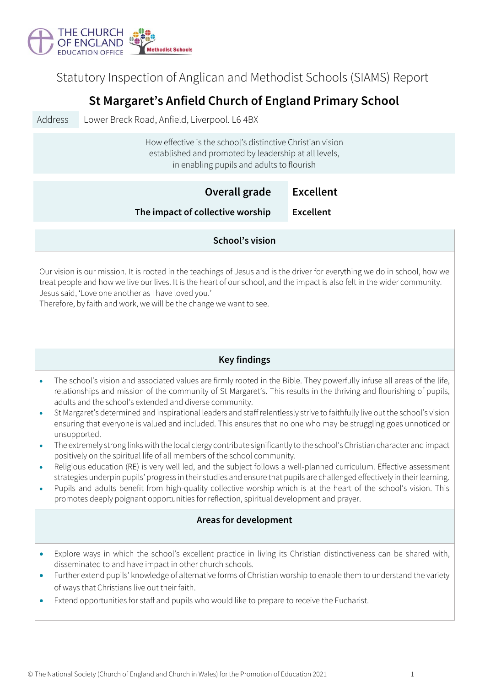

Statutory Inspection of Anglican and Methodist Schools (SIAMS) Report

## **St Margaret's Anfield Church of England Primary School**

Address Lower Breck Road, Anfield, Liverpool. L6 4BX

How effective is the school's distinctive Christian vision established and promoted by leadership at all levels, in enabling pupils and adults to flourish

|                                                                                                                                                                                                                                                                                                                                                                                        | Overall grade                                                                                                                                                                                                                                                                                                                                                                                                                                                                                                                                                                                                                                                                                                                                                                                                                                                                                                                                                                                                                                                                                                                                                                                                                                             | <b>Excellent</b> |  |  |  |
|----------------------------------------------------------------------------------------------------------------------------------------------------------------------------------------------------------------------------------------------------------------------------------------------------------------------------------------------------------------------------------------|-----------------------------------------------------------------------------------------------------------------------------------------------------------------------------------------------------------------------------------------------------------------------------------------------------------------------------------------------------------------------------------------------------------------------------------------------------------------------------------------------------------------------------------------------------------------------------------------------------------------------------------------------------------------------------------------------------------------------------------------------------------------------------------------------------------------------------------------------------------------------------------------------------------------------------------------------------------------------------------------------------------------------------------------------------------------------------------------------------------------------------------------------------------------------------------------------------------------------------------------------------------|------------------|--|--|--|
|                                                                                                                                                                                                                                                                                                                                                                                        | The impact of collective worship                                                                                                                                                                                                                                                                                                                                                                                                                                                                                                                                                                                                                                                                                                                                                                                                                                                                                                                                                                                                                                                                                                                                                                                                                          | <b>Excellent</b> |  |  |  |
| School's vision                                                                                                                                                                                                                                                                                                                                                                        |                                                                                                                                                                                                                                                                                                                                                                                                                                                                                                                                                                                                                                                                                                                                                                                                                                                                                                                                                                                                                                                                                                                                                                                                                                                           |                  |  |  |  |
| Our vision is our mission. It is rooted in the teachings of Jesus and is the driver for everything we do in school, how we<br>treat people and how we live our lives. It is the heart of our school, and the impact is also felt in the wider community.<br>Jesus said, 'Love one another as I have loved you.'<br>Therefore, by faith and work, we will be the change we want to see. |                                                                                                                                                                                                                                                                                                                                                                                                                                                                                                                                                                                                                                                                                                                                                                                                                                                                                                                                                                                                                                                                                                                                                                                                                                                           |                  |  |  |  |
|                                                                                                                                                                                                                                                                                                                                                                                        | <b>Key findings</b>                                                                                                                                                                                                                                                                                                                                                                                                                                                                                                                                                                                                                                                                                                                                                                                                                                                                                                                                                                                                                                                                                                                                                                                                                                       |                  |  |  |  |
| $\bullet$<br>$\bullet$<br>$\bullet$<br>$\bullet$<br>$\bullet$                                                                                                                                                                                                                                                                                                                          | The school's vision and associated values are firmly rooted in the Bible. They powerfully infuse all areas of the life,<br>relationships and mission of the community of St Margaret's. This results in the thriving and flourishing of pupils,<br>adults and the school's extended and diverse community.<br>St Margaret's determined and inspirational leaders and staff relentlessly strive to faithfully live out the school's vision<br>ensuring that everyone is valued and included. This ensures that no one who may be struggling goes unnoticed or<br>unsupported.<br>The extremely strong links with the local clergy contribute significantly to the school's Christian character and impact<br>positively on the spiritual life of all members of the school community.<br>Religious education (RE) is very well led, and the subject follows a well-planned curriculum. Effective assessment<br>strategies underpin pupils' progress in their studies and ensure that pupils are challenged effectively in their learning.<br>Pupils and adults benefit from high-quality collective worship which is at the heart of the school's vision. This<br>promotes deeply poignant opportunities for reflection, spiritual development and prayer. |                  |  |  |  |
|                                                                                                                                                                                                                                                                                                                                                                                        | <b>Areas for development</b>                                                                                                                                                                                                                                                                                                                                                                                                                                                                                                                                                                                                                                                                                                                                                                                                                                                                                                                                                                                                                                                                                                                                                                                                                              |                  |  |  |  |
|                                                                                                                                                                                                                                                                                                                                                                                        | Explore ways in which the school's excellent practice in living its Christian distinctiveness can be shared with,<br>disseminated to and have impact in other church schools.<br>Further extend pupils' knowledge of alternative forms of Christian worship to enable them to understand the variety<br>of ways that Christians live out their faith.<br>Extend opportunities for staff and pupils who would like to prepare to receive the Eucharist.                                                                                                                                                                                                                                                                                                                                                                                                                                                                                                                                                                                                                                                                                                                                                                                                    |                  |  |  |  |
|                                                                                                                                                                                                                                                                                                                                                                                        |                                                                                                                                                                                                                                                                                                                                                                                                                                                                                                                                                                                                                                                                                                                                                                                                                                                                                                                                                                                                                                                                                                                                                                                                                                                           |                  |  |  |  |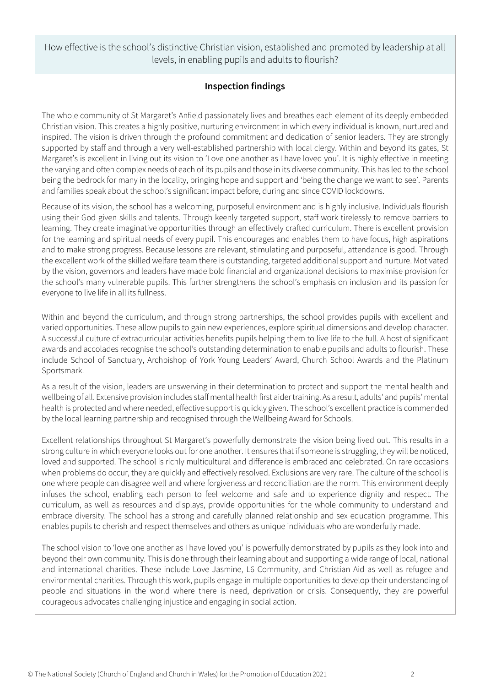How effective is the school's distinctive Christian vision, established and promoted by leadership at all levels, in enabling pupils and adults to flourish?

## **Inspection findings**

The whole community of St Margaret's Anfield passionately lives and breathes each element of its deeply embedded Christian vision. This creates a highly positive, nurturing environment in which every individual is known, nurtured and inspired. The vision is driven through the profound commitment and dedication of senior leaders. They are strongly supported by staff and through a very well-established partnership with local clergy. Within and beyond its gates, St Margaret's is excellent in living out its vision to 'Love one another as I have loved you'. It is highly effective in meeting the varying and often complex needs of each of its pupils and those in its diverse community. This has led to the school being the bedrock for many in the locality, bringing hope and support and 'being the change we want to see'. Parents and families speak about the school's significant impact before, during and since COVID lockdowns.

Because of its vision, the school has a welcoming, purposeful environment and is highly inclusive. Individuals flourish using their God given skills and talents. Through keenly targeted support, staff work tirelessly to remove barriers to learning. They create imaginative opportunities through an effectively crafted curriculum. There is excellent provision for the learning and spiritual needs of every pupil. This encourages and enables them to have focus, high aspirations and to make strong progress. Because lessons are relevant, stimulating and purposeful, attendance is good. Through the excellent work of the skilled welfare team there is outstanding, targeted additional support and nurture. Motivated by the vision, governors and leaders have made bold financial and organizational decisions to maximise provision for the school's many vulnerable pupils. This further strengthens the school's emphasis on inclusion and its passion for everyone to live life in all its fullness.

Within and beyond the curriculum, and through strong partnerships, the school provides pupils with excellent and varied opportunities. These allow pupils to gain new experiences, explore spiritual dimensions and develop character. A successful culture of extracurricular activities benefits pupils helping them to live life to the full. A host of significant awards and accolades recognise the school's outstanding determination to enable pupils and adults to flourish. These include School of Sanctuary, Archbishop of York Young Leaders' Award, Church School Awards and the Platinum Sportsmark.

As a result of the vision, leaders are unswerving in their determination to protect and support the mental health and wellbeing of all. Extensive provision includes staff mental health first aider training. As a result, adults' and pupils' mental health is protected and where needed, effective support is quickly given. The school's excellent practice is commended by the local learning partnership and recognised through the Wellbeing Award for Schools.

Excellent relationships throughout St Margaret's powerfully demonstrate the vision being lived out. This results in a strong culture in which everyone looks out for one another. It ensures that if someone is struggling, they will be noticed, loved and supported. The school is richly multicultural and difference is embraced and celebrated. On rare occasions when problems do occur, they are quickly and effectively resolved. Exclusions are very rare. The culture of the school is one where people can disagree well and where forgiveness and reconciliation are the norm. This environment deeply infuses the school, enabling each person to feel welcome and safe and to experience dignity and respect. The curriculum, as well as resources and displays, provide opportunities for the whole community to understand and embrace diversity. The school has a strong and carefully planned relationship and sex education programme. This enables pupils to cherish and respect themselves and others as unique individuals who are wonderfully made.

The school vision to 'love one another as I have loved you' is powerfully demonstrated by pupils as they look into and beyond their own community. This is done through their learning about and supporting a wide range of local, national and international charities. These include Love Jasmine, L6 Community, and Christian Aid as well as refugee and environmental charities. Through this work, pupils engage in multiple opportunities to develop their understanding of people and situations in the world where there is need, deprivation or crisis. Consequently, they are powerful courageous advocates challenging injustice and engaging in social action.